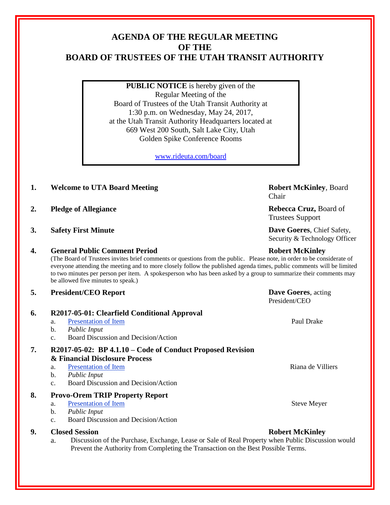# **AGENDA OF THE REGULAR MEETING OF THE BOARD OF TRUSTEES OF THE UTAH TRANSIT AUTHORITY**

**PUBLIC NOTICE** is hereby given of the Regular Meeting of the Board of Trustees of the Utah Transit Authority at 1:30 p.m. on Wednesday, May 24, 2017, at the Utah Transit Authority Headquarters located at 669 West 200 South, Salt Lake City, Utah Golden Spike Conference Rooms

[www.rideuta.com/board](http://www.rideuta.com/board)

- **1. Welcome to UTA Board Meeting <b>Robert McKinley**, Board
- **2. Pledge of Allegiance Rebecca Cruz, Board of**
- **3. Safety First Minute Dave Goeres**, Chief Safety,

# **4. General Public Comment Period Robert McKinley**

(The Board of Trustees invites brief comments or questions from the public. Please note, in order to be considerate of everyone attending the meeting and to more closely follow the published agenda times, public comments will be limited to two minutes per person per item. A spokesperson who has been asked by a group to summarize their comments may be allowed five minutes to speak.)

## **5. President/CEO Report Dave Goeres**, acting

# **6. R2017-05-01: Clearfield Conditional Approval**

a. Presentation of Item Paul Drake

## b. *Public Input*

c. Board Discussion and Decision/Action

# **7. R2017-05-02: BP 4.1.10 – Code of Conduct Proposed Revision & Financial Disclosure Process**

# a. Presentation of Item and the second version of  $\mathbb{R}$  and  $\mathbb{R}$  Riana de Villiers

- b. *Public Input*
- c. Board Discussion and Decision/Action

# **8. Provo-Orem TRIP Property Report**

- a. Presentation of Item Steve Meyer
- b. *Public Input*
- c. Board Discussion and Decision/Action

# **9. Closed Session Robert McKinley**

a. Discussion of the Purchase, Exchange, Lease or Sale of Real Property when Public Discussion would Prevent the Authority from Completing the Transaction on the Best Possible Terms.

Chair

Trustees Support

Security & Technology Officer

President/CEO